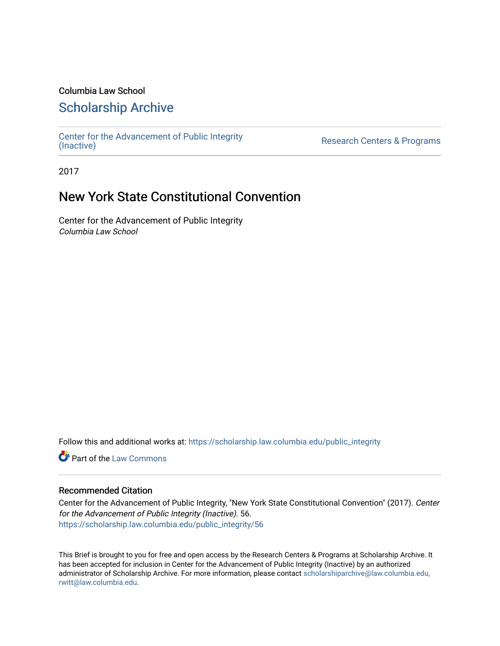# Columbia Law School

# [Scholarship Archive](https://scholarship.law.columbia.edu/)

[Center for the Advancement of Public Integrity](https://scholarship.law.columbia.edu/public_integrity)<br>(Inactive)

Research Centers & Programs

2017

# New York State Constitutional Convention

Center for the Advancement of Public Integrity Columbia Law School

Follow this and additional works at: [https://scholarship.law.columbia.edu/public\\_integrity](https://scholarship.law.columbia.edu/public_integrity?utm_source=scholarship.law.columbia.edu%2Fpublic_integrity%2F56&utm_medium=PDF&utm_campaign=PDFCoverPages)

**Part of the [Law Commons](http://network.bepress.com/hgg/discipline/578?utm_source=scholarship.law.columbia.edu%2Fpublic_integrity%2F56&utm_medium=PDF&utm_campaign=PDFCoverPages)** 

# Recommended Citation

Center for the Advancement of Public Integrity, "New York State Constitutional Convention" (2017). Center for the Advancement of Public Integrity (Inactive). 56. [https://scholarship.law.columbia.edu/public\\_integrity/56](https://scholarship.law.columbia.edu/public_integrity/56?utm_source=scholarship.law.columbia.edu%2Fpublic_integrity%2F56&utm_medium=PDF&utm_campaign=PDFCoverPages) 

This Brief is brought to you for free and open access by the Research Centers & Programs at Scholarship Archive. It has been accepted for inclusion in Center for the Advancement of Public Integrity (Inactive) by an authorized administrator of Scholarship Archive. For more information, please contact [scholarshiparchive@law.columbia.edu,](mailto:scholarshiparchive@law.columbia.edu,%20rwitt@law.columbia.edu)  [rwitt@law.columbia.edu.](mailto:scholarshiparchive@law.columbia.edu,%20rwitt@law.columbia.edu)